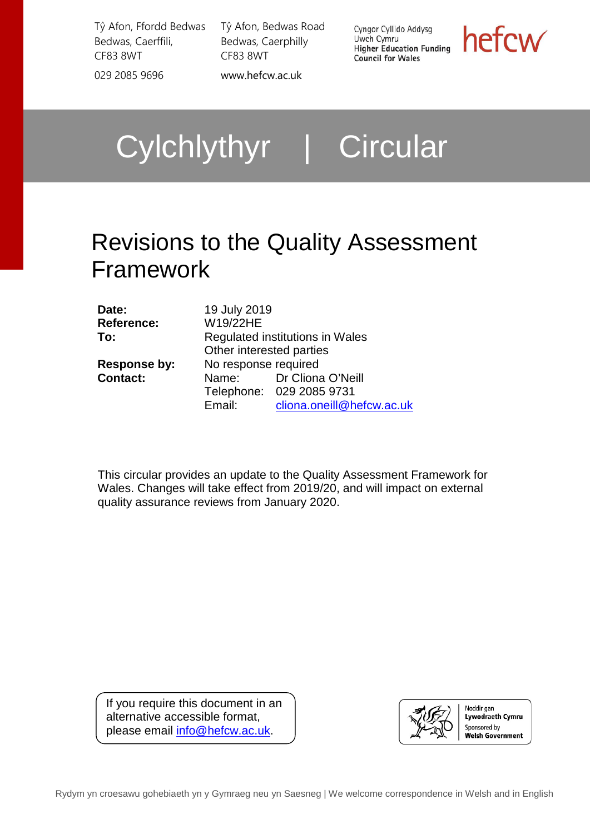Tŷ Afon, Ffordd Bedwas Bedwas, Caerffili, CF83 8WT 029 2085 9696 [www.hefcw.ac.uk](http://www.hefcw.ac.uk/)

Tŷ Afon, Bedwas Road Bedwas, Caerphilly CF83 8WT

Cyngor Cyllido Addysg Uwch Cymru **UWCH Cymru**<br>Higher Education Funding **Council for Wales** 

hefcw

Cylchlythyr | Circular

# Revisions to the Quality Assessment Framework

| Date:               | 19 July 2019                    |                           |
|---------------------|---------------------------------|---------------------------|
| <b>Reference:</b>   | W19/22HE                        |                           |
| To:                 | Regulated institutions in Wales |                           |
|                     | Other interested parties        |                           |
| <b>Response by:</b> | No response required            |                           |
| <b>Contact:</b>     | Name:                           | Dr Cliona O'Neill         |
|                     |                                 | Telephone: 029 2085 9731  |
|                     | Email:                          | cliona.oneill@hefcw.ac.uk |

This circular provides an update to the Quality Assessment Framework for Wales. Changes will take effect from 2019/20, and will impact on external quality assurance reviews from January 2020.

If you require this document in an alternative accessible format, please email [info@hefcw.ac.uk.](mailto:info@hefcw.ac.uk)

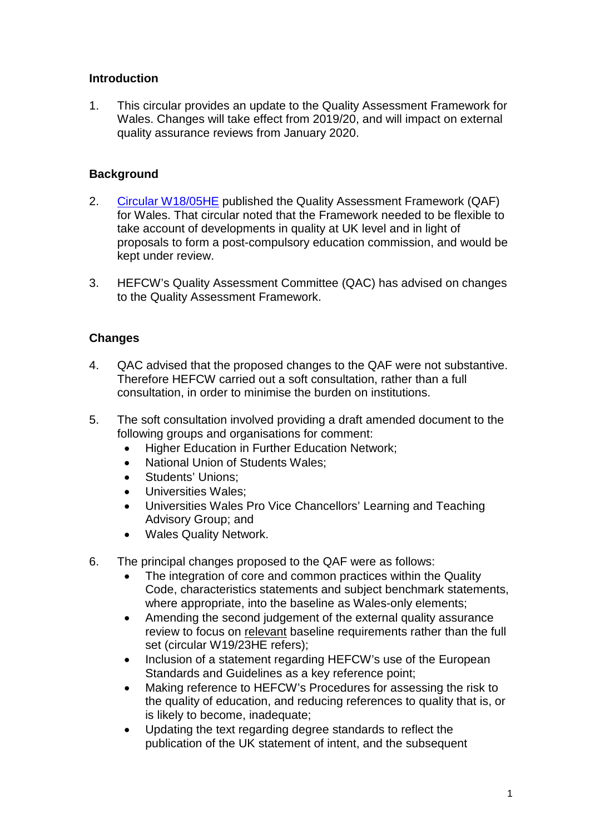# **Introduction**

1. This circular provides an update to the Quality Assessment Framework for Wales. Changes will take effect from 2019/20, and will impact on external quality assurance reviews from January 2020.

# **Background**

- 2. [Circular W18/05HE](https://www.hefcw.ac.uk/publications/circulars/circulars_2018.aspx) published the Quality Assessment Framework (QAF) for Wales. That circular noted that the Framework needed to be flexible to take account of developments in quality at UK level and in light of proposals to form a post-compulsory education commission, and would be kept under review.
- 3. HEFCW's Quality Assessment Committee (QAC) has advised on changes to the Quality Assessment Framework.

### **Changes**

- 4. QAC advised that the proposed changes to the QAF were not substantive. Therefore HEFCW carried out a soft consultation, rather than a full consultation, in order to minimise the burden on institutions.
- 5. The soft consultation involved providing a draft amended document to the following groups and organisations for comment:
	- Higher Education in Further Education Network;
	- National Union of Students Wales;
	- Students' Unions;
	- Universities Wales;
	- Universities Wales Pro Vice Chancellors' Learning and Teaching Advisory Group; and
	- Wales Quality Network.
- 6. The principal changes proposed to the QAF were as follows:
	- The integration of core and common practices within the Quality Code, characteristics statements and subject benchmark statements, where appropriate, into the baseline as Wales-only elements;
	- Amending the second judgement of the external quality assurance review to focus on relevant baseline requirements rather than the full set (circular W19/23HE refers);
	- Inclusion of a statement regarding HEFCW's use of the European Standards and Guidelines as a key reference point;
	- Making reference to HEFCW's Procedures for assessing the risk to the quality of education, and reducing references to quality that is, or is likely to become, inadequate;
	- Updating the text regarding degree standards to reflect the publication of the UK statement of intent, and the subsequent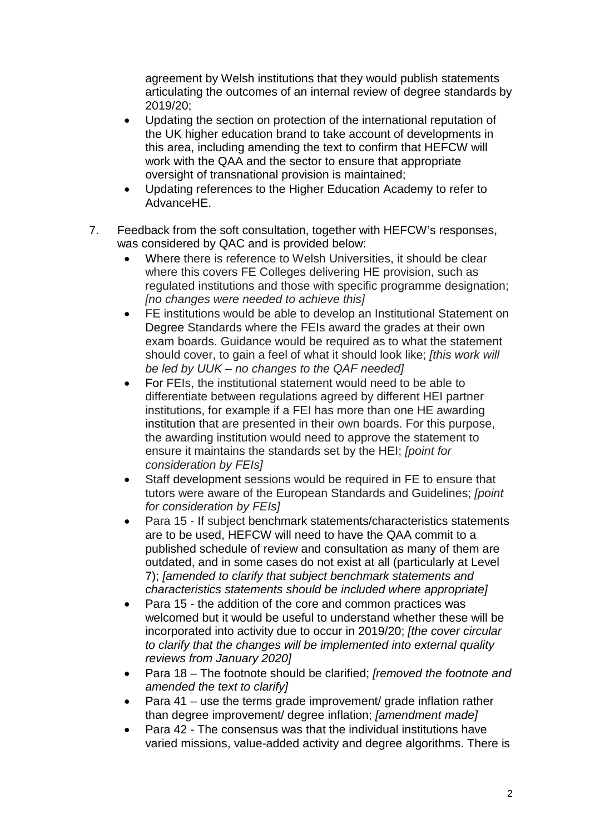agreement by Welsh institutions that they would publish statements articulating the outcomes of an internal review of degree standards by 2019/20;

- Updating the section on protection of the international reputation of the UK higher education brand to take account of developments in this area, including amending the text to confirm that HEFCW will work with the QAA and the sector to ensure that appropriate oversight of transnational provision is maintained;
- Updating references to the Higher Education Academy to refer to AdvanceHE.
- 7. Feedback from the soft consultation, together with HEFCW's responses, was considered by QAC and is provided below:
	- Where there is reference to Welsh Universities, it should be clear where this covers FE Colleges delivering HE provision, such as regulated institutions and those with specific programme designation; *[no changes were needed to achieve this]*
	- FE institutions would be able to develop an Institutional Statement on Degree Standards where the FEIs award the grades at their own exam boards. Guidance would be required as to what the statement should cover, to gain a feel of what it should look like; *[this work will be led by UUK – no changes to the QAF needed]*
	- For FEIs, the institutional statement would need to be able to differentiate between regulations agreed by different HEI partner institutions, for example if a FEI has more than one HE awarding institution that are presented in their own boards. For this purpose, the awarding institution would need to approve the statement to ensure it maintains the standards set by the HEI; *[point for consideration by FEIs]*
	- Staff development sessions would be required in FE to ensure that tutors were aware of the European Standards and Guidelines; *[point for consideration by FEIs]*
	- Para 15 If subject benchmark statements/characteristics statements are to be used, HEFCW will need to have the QAA commit to a published schedule of review and consultation as many of them are outdated, and in some cases do not exist at all (particularly at Level 7); *[amended to clarify that subject benchmark statements and characteristics statements should be included where appropriate]*
	- Para 15 the addition of the core and common practices was welcomed but it would be useful to understand whether these will be incorporated into activity due to occur in 2019/20; *[the cover circular to clarify that the changes will be implemented into external quality reviews from January 2020]*
	- Para 18 The footnote should be clarified; *[removed the footnote and amended the text to clarify]*
	- Para 41 use the terms grade improvement/ grade inflation rather than degree improvement/ degree inflation; *[amendment made]*
	- Para 42 The consensus was that the individual institutions have varied missions, value-added activity and degree algorithms. There is